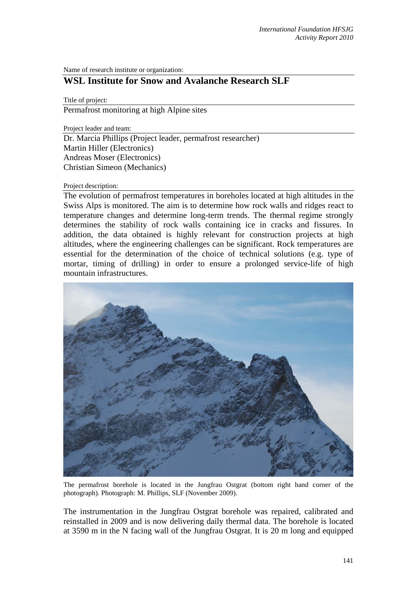Name of research institute or organization:

## **WSL Institute for Snow and Avalanche Research SLF**

Title of project:

Permafrost monitoring at high Alpine sites

Project leader and team:

Dr. Marcia Phillips (Project leader, permafrost researcher) Martin Hiller (Electronics) Andreas Moser (Electronics) Christian Simeon (Mechanics)

## Project description:

The evolution of permafrost temperatures in boreholes located at high altitudes in the Swiss Alps is monitored. The aim is to determine how rock walls and ridges react to temperature changes and determine long-term trends. The thermal regime strongly determines the stability of rock walls containing ice in cracks and fissures. In addition, the data obtained is highly relevant for construction projects at high altitudes, where the engineering challenges can be significant. Rock temperatures are essential for the determination of the choice of technical solutions (e.g. type of mortar, timing of drilling) in order to ensure a prolonged service-life of high mountain infrastructures.



The permafrost borehole is located in the Jungfrau Ostgrat (bottom right hand corner of the photograph). Photograph: M. Phillips, SLF (November 2009).

The instrumentation in the Jungfrau Ostgrat borehole was repaired, calibrated and reinstalled in 2009 and is now delivering daily thermal data. The borehole is located at 3590 m in the N facing wall of the Jungfrau Ostgrat. It is 20 m long and equipped